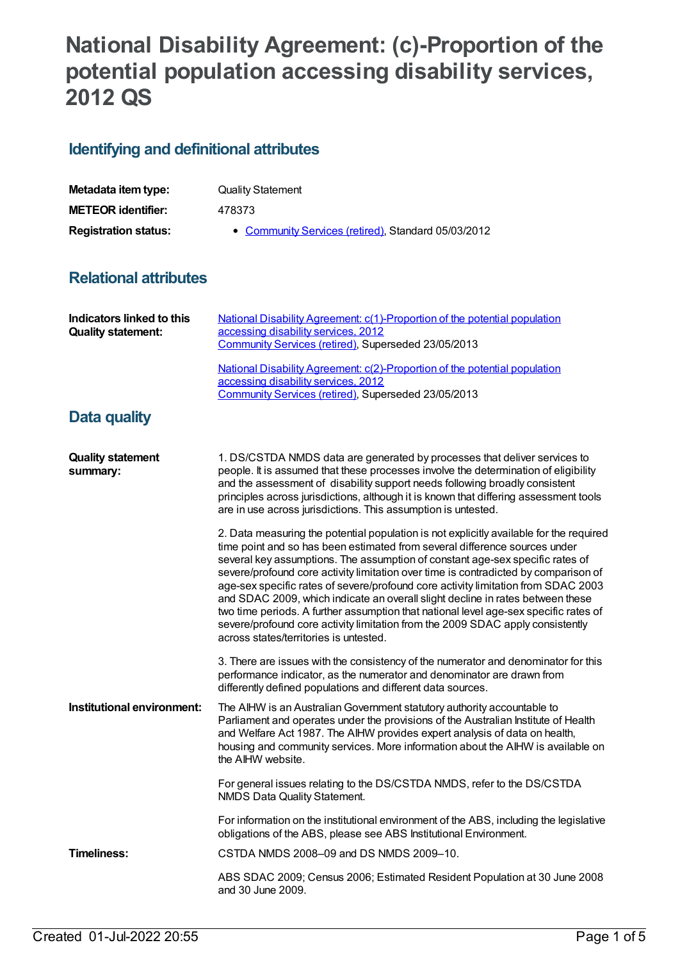## **National Disability Agreement: (c)-Proportion of the potential population accessing disability services, 2012 QS**

## **Identifying and definitional attributes**

| Metadata item type:         | <b>Quality Statement</b>                            |
|-----------------------------|-----------------------------------------------------|
| <b>METEOR identifier:</b>   | 478373                                              |
| <b>Registration status:</b> | • Community Services (retired), Standard 05/03/2012 |

## **Relational attributes**

| <b>Indicators linked to this</b><br><b>Quality statement:</b> | National Disability Agreement: c(1)-Proportion of the potential population<br>accessing disability services, 2012<br>Community Services (retired), Superseded 23/05/2013<br>National Disability Agreement: c(2)-Proportion of the potential population<br>accessing disability services, 2012<br>Community Services (retired), Superseded 23/05/2013                                                                                                                                                                                                                                                                                                                                                                                     |
|---------------------------------------------------------------|------------------------------------------------------------------------------------------------------------------------------------------------------------------------------------------------------------------------------------------------------------------------------------------------------------------------------------------------------------------------------------------------------------------------------------------------------------------------------------------------------------------------------------------------------------------------------------------------------------------------------------------------------------------------------------------------------------------------------------------|
| Data quality                                                  |                                                                                                                                                                                                                                                                                                                                                                                                                                                                                                                                                                                                                                                                                                                                          |
| <b>Quality statement</b><br>summary:                          | 1. DS/CSTDA NMDS data are generated by processes that deliver services to<br>people. It is assumed that these processes involve the determination of eligibility<br>and the assessment of disability support needs following broadly consistent<br>principles across jurisdictions, although it is known that differing assessment tools<br>are in use across jurisdictions. This assumption is untested.                                                                                                                                                                                                                                                                                                                                |
|                                                               | 2. Data measuring the potential population is not explicitly available for the required<br>time point and so has been estimated from several difference sources under<br>several key assumptions. The assumption of constant age-sex specific rates of<br>severe/profound core activity limitation over time is contradicted by comparison of<br>age-sex specific rates of severe/profound core activity limitation from SDAC 2003<br>and SDAC 2009, which indicate an overall slight decline in rates between these<br>two time periods. A further assumption that national level age-sex specific rates of<br>severe/profound core activity limitation from the 2009 SDAC apply consistently<br>across states/territories is untested. |
|                                                               | 3. There are issues with the consistency of the numerator and denominator for this<br>performance indicator, as the numerator and denominator are drawn from<br>differently defined populations and different data sources.                                                                                                                                                                                                                                                                                                                                                                                                                                                                                                              |
| Institutional environment:                                    | The AIHW is an Australian Government statutory authority accountable to<br>Parliament and operates under the provisions of the Australian Institute of Health<br>and Welfare Act 1987. The AIHW provides expert analysis of data on health,<br>housing and community services. More information about the AIHW is available on<br>the AIHW website.                                                                                                                                                                                                                                                                                                                                                                                      |
|                                                               | For general issues relating to the DS/CSTDA NMDS, refer to the DS/CSTDA<br>NMDS Data Quality Statement.                                                                                                                                                                                                                                                                                                                                                                                                                                                                                                                                                                                                                                  |
|                                                               | For information on the institutional environment of the ABS, including the legislative<br>obligations of the ABS, please see ABS Institutional Environment.                                                                                                                                                                                                                                                                                                                                                                                                                                                                                                                                                                              |
| <b>Timeliness:</b>                                            | CSTDA NMDS 2008-09 and DS NMDS 2009-10.                                                                                                                                                                                                                                                                                                                                                                                                                                                                                                                                                                                                                                                                                                  |
|                                                               | ABS SDAC 2009; Census 2006; Estimated Resident Population at 30 June 2008<br>and 30 June 2009.                                                                                                                                                                                                                                                                                                                                                                                                                                                                                                                                                                                                                                           |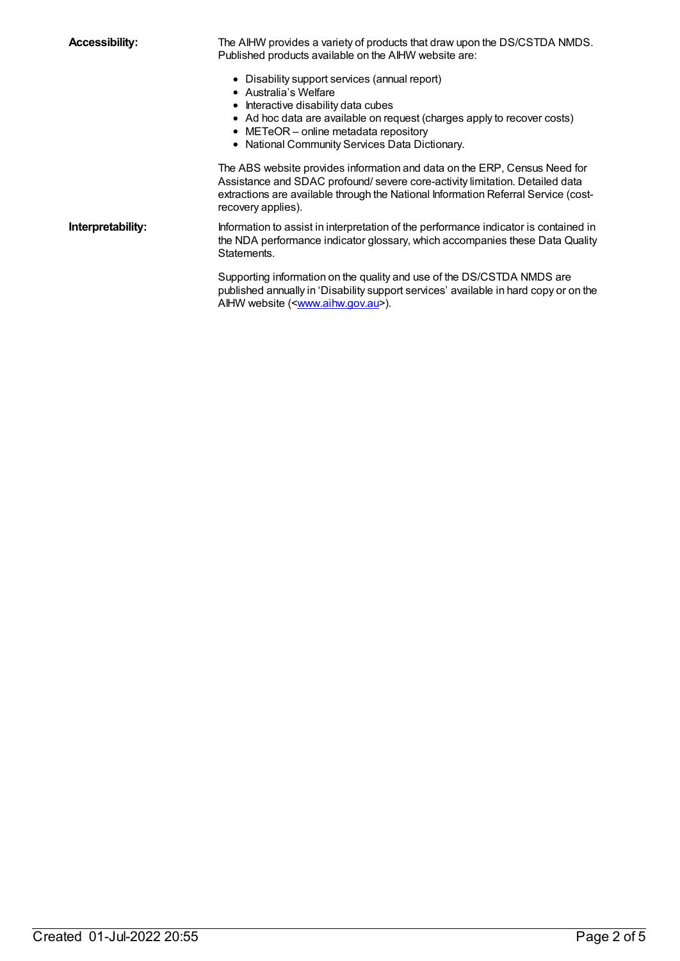**Accessibility:** The AIHW provides a variety of products that draw upon the DS/CSTDA NMDS. Published products available on the AIHW website are:

- Disability support services (annual report)
- Australia's Welfare
- $\bullet$  Interactive disability data cubes
- Ad hoc data are available on request (charges apply to recover costs)
- METeOR online metadata repository
- National Community Services Data Dictionary.

The ABS website provides information and data on the ERP, Census Need for Assistance and SDAC profound/ severe core-activity limitation. Detailed data extractions are available through the National Information Referral Service (costrecovery applies).

**Interpretability:** Information to assist in interpretation of the performance indicator is contained in the NDA performance indicator glossary, which accompanies these Data Quality Statements.

> Supporting information on the quality and use of the DS/CSTDA NMDS are published annually in 'Disability support services' available in hard copy or on the AIHW website ([<www.aihw.gov.au](http://www.aihw.gov.au/)>).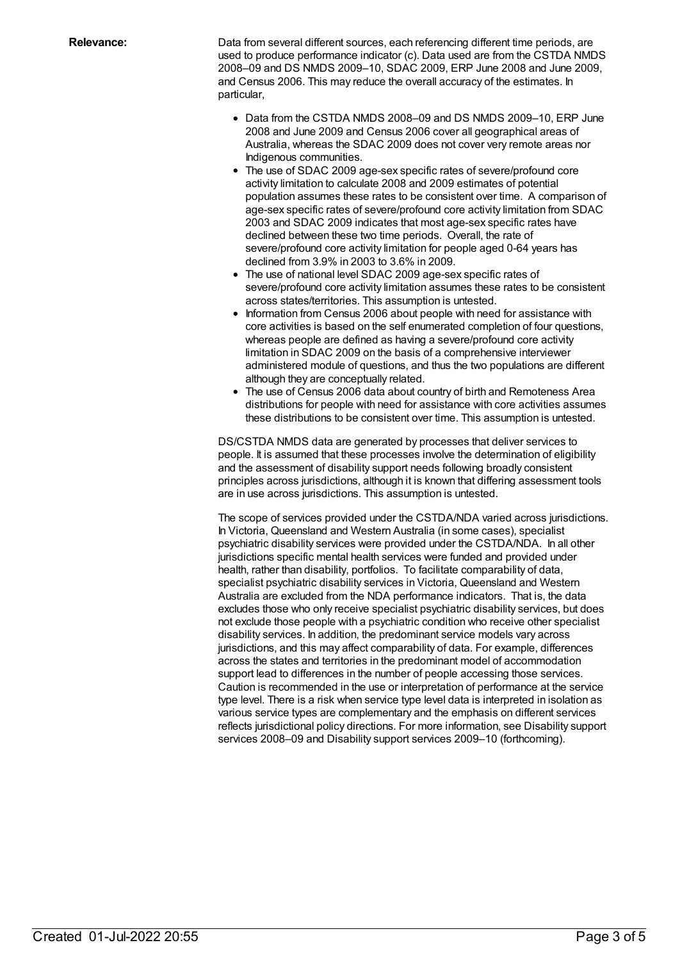**Relevance:** Data from several different sources, each referencing different time periods, are used to produce performance indicator (c). Data used are from the CSTDA NMDS 2008–09 and DS NMDS 2009–10, SDAC 2009, ERP June 2008 and June 2009, and Census 2006. This may reduce the overall accuracy of the estimates. In particular,

- Data from the CSTDA NMDS 2008–09 and DS NMDS 2009–10, ERP June 2008 and June 2009 and Census 2006 cover all geographical areas of Australia, whereas the SDAC 2009 does not cover very remote areas nor Indigenous communities.
- The use of SDAC 2009 age-sex specific rates of severe/profound core activity limitation to calculate 2008 and 2009 estimates of potential population assumes these rates to be consistent over time. A comparison of age-sex specific rates of severe/profound core activity limitation from SDAC 2003 and SDAC 2009 indicates that most age-sex specific rates have declined between these two time periods. Overall, the rate of severe/profound core activity limitation for people aged 0-64 years has declined from 3.9% in 2003 to 3.6% in 2009.
- The use of national level SDAC 2009 age-sex specific rates of severe/profound core activity limitation assumes these rates to be consistent across states/territories. This assumption is untested.
- Information from Census 2006 about people with need for assistance with core activities is based on the self enumerated completion of four questions, whereas people are defined as having a severe/profound core activity limitation in SDAC 2009 on the basis of a comprehensive interviewer administered module of questions, and thus the two populations are different although they are conceptually related.
- The use of Census 2006 data about country of birth and Remoteness Area distributions for people with need for assistance with core activities assumes these distributions to be consistent over time. This assumption is untested.

DS/CSTDA NMDS data are generated by processes that deliver services to people. It is assumed that these processes involve the determination of eligibility and the assessment of disability support needs following broadly consistent principles across jurisdictions, although it is known that differing assessment tools are in use across jurisdictions. This assumption is untested.

The scope of services provided under the CSTDA/NDA varied across jurisdictions. In Victoria, Queensland and Western Australia (in some cases), specialist psychiatric disability services were provided under the CSTDA/NDA. In all other jurisdictions specific mental health services were funded and provided under health, rather than disability, portfolios. To facilitate comparability of data, specialist psychiatric disability services in Victoria, Queensland and Western Australia are excluded from the NDA performance indicators. That is, the data excludes those who only receive specialist psychiatric disability services, but does not exclude those people with a psychiatric condition who receive other specialist disability services. In addition, the predominant service models vary across jurisdictions, and this may affect comparability of data. For example, differences across the states and territories in the predominant model of accommodation support lead to differences in the number of people accessing those services. Caution is recommended in the use or interpretation of performance at the service type level. There is a risk when service type level data is interpreted in isolation as various service types are complementary and the emphasis on different services reflects jurisdictional policy directions. For more information, see Disability support services 2008–09 and Disability support services 2009–10 (forthcoming).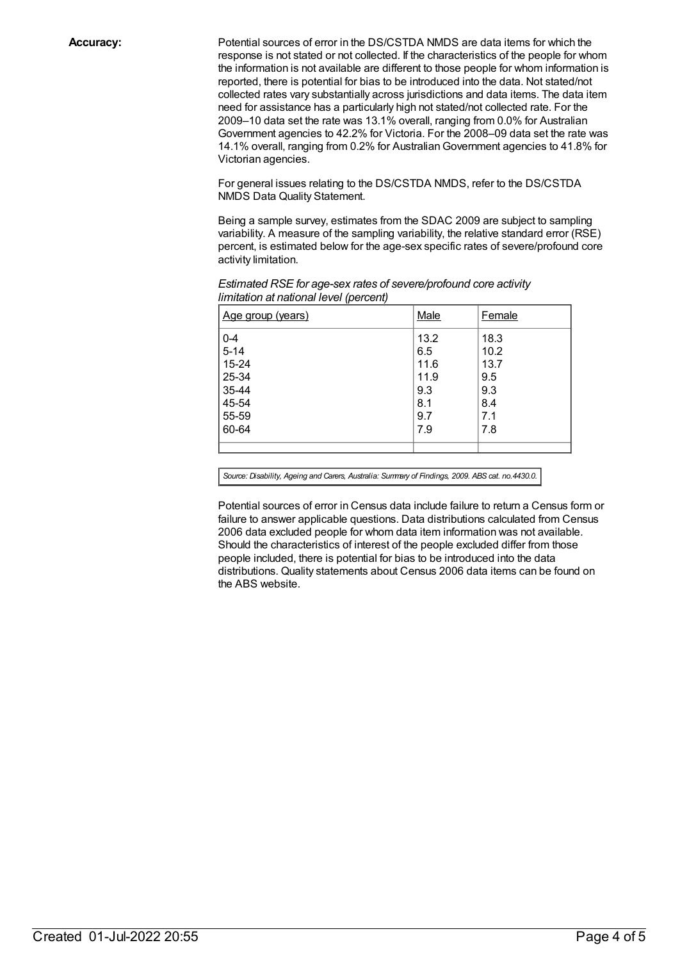**Accuracy:** Potential sources of error in the DS/CSTDA NMDS are data items for which the response is not stated or not collected. If the characteristics of the people for whom the information is not available are different to those people for whom information is reported, there is potential for bias to be introduced into the data. Not stated/not collected rates vary substantially across jurisdictions and data items. The data item need for assistance has a particularly high not stated/not collected rate. For the 2009–10 data set the rate was 13.1% overall, ranging from 0.0% for Australian Government agencies to 42.2% for Victoria. For the 2008–09 data set the rate was 14.1% overall, ranging from 0.2% for AustralianGovernment agencies to 41.8% for Victorian agencies.

> For general issues relating to the DS/CSTDA NMDS, refer to the DS/CSTDA NMDS Data Quality Statement.

Being a sample survey, estimates from the SDAC 2009 are subject to sampling variability. A measure of the sampling variability, the relative standard error (RSE) percent, is estimated below for the age-sex specific rates of severe/profound core activity limitation.

| Age group (years) | Male | Female |
|-------------------|------|--------|
| $0 - 4$           | 13.2 | 18.3   |
| $5 - 14$          | 6.5  | 10.2   |
| 15-24             | 11.6 | 13.7   |
| 25-34             | 11.9 | 9.5    |
| 35-44             | 9.3  | 9.3    |
| 45-54             | 8.1  | 8.4    |
| 55-59             | 9.7  | 7.1    |
| 60-64             | 7.9  | 7.8    |
|                   |      |        |

*Estimated RSE for age-sex rates of severe/profound core activity limitation at national level (percent)*

*Source: Disability, Ageing and Carers, Australia: Summary of Findings, 2009. ABS cat. no.4430.0.*

Potential sources of error in Census data include failure to return a Census form or failure to answer applicable questions. Data distributions calculated from Census 2006 data excluded people for whom data item information was not available. Should the characteristics of interest of the people excluded differ from those people included, there is potential for bias to be introduced into the data distributions. Quality statements about Census 2006 data items can be found on the ABS website.